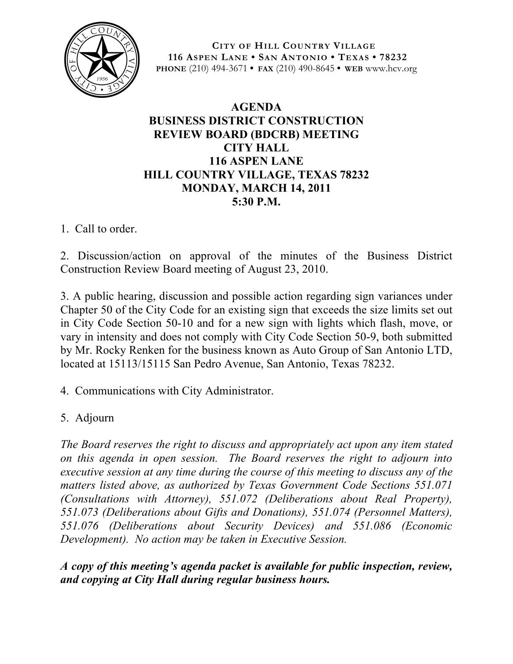

**CITY OF HILL COUNTRY VILLAGE 116 ASPEN LANE • SAN ANTONIO • TEXAS • 78232 PHONE** (210) 494-3671 **• FAX** (210) 490-8645 **• WEB** www.hcv.org

## **AGENDA BUSINESS DISTRICT CONSTRUCTION REVIEW BOARD (BDCRB) MEETING CITY HALL 116 ASPEN LANE HILL COUNTRY VILLAGE, TEXAS 78232 MONDAY, MARCH 14, 2011 5:30 P.M.**

1. Call to order.

2. Discussion/action on approval of the minutes of the Business District Construction Review Board meeting of August 23, 2010.

3. A public hearing, discussion and possible action regarding sign variances under Chapter 50 of the City Code for an existing sign that exceeds the size limits set out in City Code Section 50-10 and for a new sign with lights which flash, move, or vary in intensity and does not comply with City Code Section 50-9, both submitted by Mr. Rocky Renken for the business known as Auto Group of San Antonio LTD, located at 15113/15115 San Pedro Avenue, San Antonio, Texas 78232.

4. Communications with City Administrator.

5. Adjourn

*The Board reserves the right to discuss and appropriately act upon any item stated on this agenda in open session. The Board reserves the right to adjourn into executive session at any time during the course of this meeting to discuss any of the matters listed above, as authorized by Texas Government Code Sections 551.071 (Consultations with Attorney), 551.072 (Deliberations about Real Property), 551.073 (Deliberations about Gifts and Donations), 551.074 (Personnel Matters), 551.076 (Deliberations about Security Devices) and 551.086 (Economic Development). No action may be taken in Executive Session.*

*A copy of this meeting's agenda packet is available for public inspection, review, and copying at City Hall during regular business hours.*